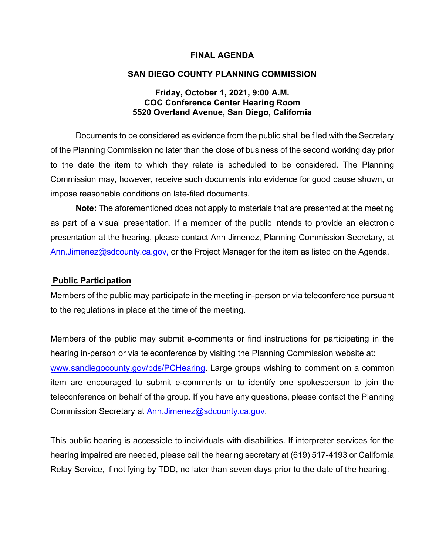#### **FINAL AGENDA**

#### **SAN DIEGO COUNTY PLANNING COMMISSION**

#### **Friday, October 1, 2021, 9:00 A.M. COC Conference Center Hearing Room 5520 Overland Avenue, San Diego, California**

Documents to be considered as evidence from the public shall be filed with the Secretary of the Planning Commission no later than the close of business of the second working day prior to the date the item to which they relate is scheduled to be considered. The Planning Commission may, however, receive such documents into evidence for good cause shown, or impose reasonable conditions on late-filed documents.

**Note:** The aforementioned does not apply to materials that are presented at the meeting as part of a visual presentation. If a member of the public intends to provide an electronic presentation at the hearing, please contact Ann Jimenez, Planning Commission Secretary, at [Ann.Jimenez@sdcounty.ca.gov,](mailto:Ann.Jimenez@sdcounty.ca.gov) or the Project Manager for the item as listed on the Agenda.

#### **Public Participation**

Members of the public may participate in the meeting in-person or via teleconference pursuant to the regulations in place at the time of the meeting.

Members of the public may submit e-comments or find instructions for participating in the hearing in-person or via teleconference by visiting the Planning Commission website at: [www.sandiegocounty.gov/pds/PCHearing.](http://www.sandiegocounty.gov/pds/PCHearing) Large groups wishing to comment on a common item are encouraged to submit e-comments or to identify one spokesperson to join the teleconference on behalf of the group. If you have any questions, please contact the Planning Commission Secretary at [Ann.Jimenez@sdcounty.ca.gov.](mailto:Ann.Jimenez@sdcounty.ca.gov)

This public hearing is accessible to individuals with disabilities. If interpreter services for the hearing impaired are needed, please call the hearing secretary at (619) 517-4193 or California Relay Service, if notifying by TDD, no later than seven days prior to the date of the hearing.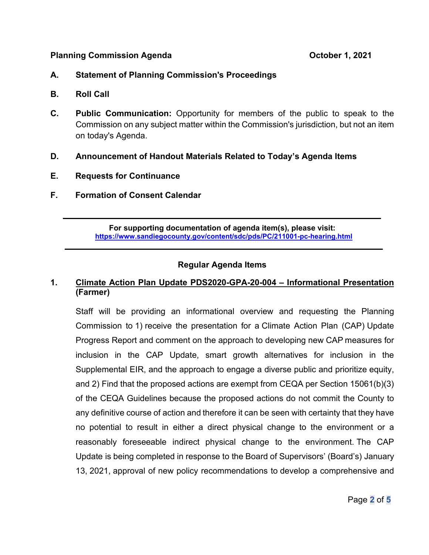#### **Planning Commission Agenda Commission Agenda Commission Agenda Commission Agent**

- **A. Statement of Planning Commission's Proceedings**
- **B. Roll Call**
- **C. Public Communication:** Opportunity for members of the public to speak to the Commission on any subject matter within the Commission's jurisdiction, but not an item on today's Agenda.
- **D. Announcement of Handout Materials Related to Today's Agenda Items**
- **E. Requests for Continuance**
- **F. Formation of Consent Calendar**

**For supporting documentation of agenda item(s), please visit: https://www.sandiegocounty.gov/content/sdc/pds/PC/211001-pc-hearing.html**

 $\overline{\phantom{a}}$  , and the contribution of the contribution of the contribution of the contribution of the contribution of the contribution of the contribution of the contribution of the contribution of the contribution of the

 $\overline{\phantom{a}}$  , and the contribution of the contribution of the contribution of the contribution of the contribution of the contribution of the contribution of the contribution of the contribution of the contribution of the

## **Regular Agenda Items**

## **1. Climate Action Plan Update PDS2020-GPA-20-004 – Informational Presentation (Farmer)**

Staff will be providing an informational overview and requesting the Planning Commission to 1) receive the presentation for a Climate Action Plan (CAP) Update Progress Report and comment on the approach to developing new CAP measures for inclusion in the CAP Update, smart growth alternatives for inclusion in the Supplemental EIR, and the approach to engage a diverse public and prioritize equity, and 2) Find that the proposed actions are exempt from CEQA per Section 15061(b)(3) of the CEQA Guidelines because the proposed actions do not commit the County to any definitive course of action and therefore it can be seen with certainty that they have no potential to result in either a direct physical change to the environment or a reasonably foreseeable indirect physical change to the environment. The CAP Update is being completed in response to the Board of Supervisors' (Board's) January 13, 2021, approval of new policy recommendations to develop a comprehensive and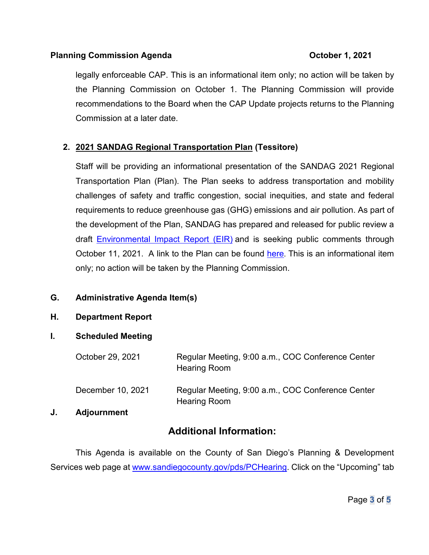## **Planning Commission Agenda Commission Agenda Commission Agents Commission Agents Commission Agents Commission Agents Commission Agents Commission Agents Commission Agents Commission Agents Commission A**

legally enforceable CAP. This is an informational item only; no action will be taken by the Planning Commission on October 1. The Planning Commission will provide recommendations to the Board when the CAP Update projects returns to the Planning Commission at a later date.

## **2. 2021 SANDAG Regional Transportation Plan (Tessitore)**

Staff will be providing an informational presentation of the SANDAG 2021 Regional Transportation Plan (Plan). The Plan seeks to address transportation and mobility challenges of safety and traffic congestion, social inequities, and state and federal requirements to reduce greenhouse gas (GHG) emissions and air pollution. As part of the development of the [Plan,](https://sdforward.com/mobility-planning/2021-regional-plan-draft) SANDAG has prepared and released for public review a draft [Environmental Impact Report \(EIR\)](https://sdforward.com/mobility-planning/draft-eir/) and is seeking public comments through October 11, 2021. A link to the Plan can be found [here](https://sdforward.com/mobility-planning/2021-regional-plan). This is an informational item only; no action will be taken by the Planning Commission.

## **G. Administrative Agenda Item(s)**

### **H. Department Report**

## **I. Scheduled Meeting**

|    | October 29, 2021   | Regular Meeting, 9:00 a.m., COC Conference Center<br><b>Hearing Room</b> |
|----|--------------------|--------------------------------------------------------------------------|
|    | December 10, 2021  | Regular Meeting, 9:00 a.m., COC Conference Center<br><b>Hearing Room</b> |
| J. | <b>Adjournment</b> |                                                                          |

# **Additional Information:**

This Agenda is available on the County of San Diego's Planning & Development Services web page at [www.sandiegocounty.gov/pds/PCHearing.](http://www.sandiegocounty.gov/pds/PCHearing) Click on the "Upcoming" tab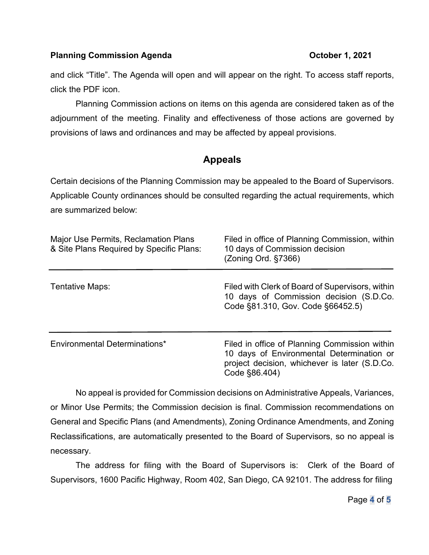## **Planning Commission Agenda Commission Agenda Commission Agenda Commission Agents Commission Agents Commission Agents Commission Agents Commission Agents Commission Agents Commission Agents Commission A**

and click "Title". The Agenda will open and will appear on the right. To access staff reports, click the PDF icon.

Planning Commission actions on items on this agenda are considered taken as of the adjournment of the meeting. Finality and effectiveness of those actions are governed by provisions of laws and ordinances and may be affected by appeal provisions.

# **Appeals**

Certain decisions of the Planning Commission may be appealed to the Board of Supervisors. Applicable County ordinances should be consulted regarding the actual requirements, which are summarized below:

| <b>Major Use Permits, Reclamation Plans</b><br>& Site Plans Required by Specific Plans: | Filed in office of Planning Commission, within<br>10 days of Commission decision<br>(Zoning Ord. §7366)                                                      |
|-----------------------------------------------------------------------------------------|--------------------------------------------------------------------------------------------------------------------------------------------------------------|
| Tentative Maps:                                                                         | Filed with Clerk of Board of Supervisors, within<br>10 days of Commission decision (S.D.Co.<br>Code §81.310, Gov. Code §66452.5)                             |
| Environmental Determinations*                                                           | Filed in office of Planning Commission within<br>10 days of Environmental Determination or<br>project decision, whichever is later (S.D.Co.<br>Code §86.404) |

No appeal is provided for Commission decisions on Administrative Appeals, Variances, or Minor Use Permits; the Commission decision is final. Commission recommendations on General and Specific Plans (and Amendments), Zoning Ordinance Amendments, and Zoning Reclassifications, are automatically presented to the Board of Supervisors, so no appeal is necessary.

The address for filing with the Board of Supervisors is: Clerk of the Board of Supervisors, 1600 Pacific Highway, Room 402, San Diego, CA 92101. The address for filing